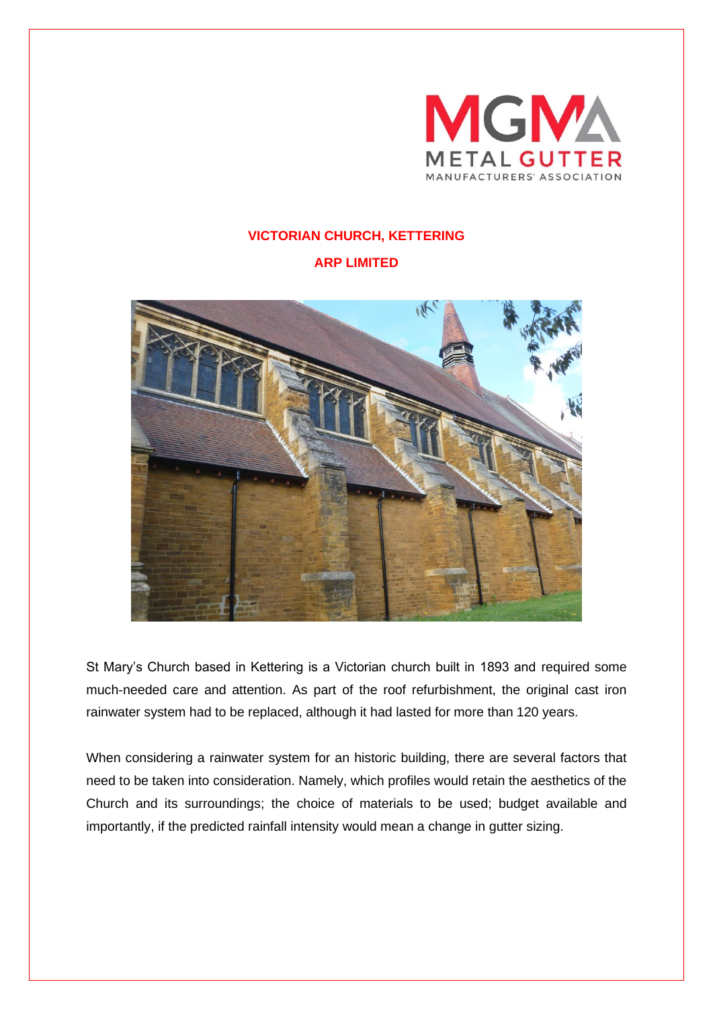

## **VICTORIAN CHURCH, KETTERING**

**ARP LIMITED**



St Mary's Church based in Kettering is a Victorian church built in 1893 and required some much-needed care and attention. As part of the roof refurbishment, the original cast iron rainwater system had to be replaced, although it had lasted for more than 120 years.

When considering a rainwater system for an historic building, there are several factors that need to be taken into consideration. Namely, which profiles would retain the aesthetics of the Church and its surroundings; the choice of materials to be used; budget available and importantly, if the predicted rainfall intensity would mean a change in gutter sizing.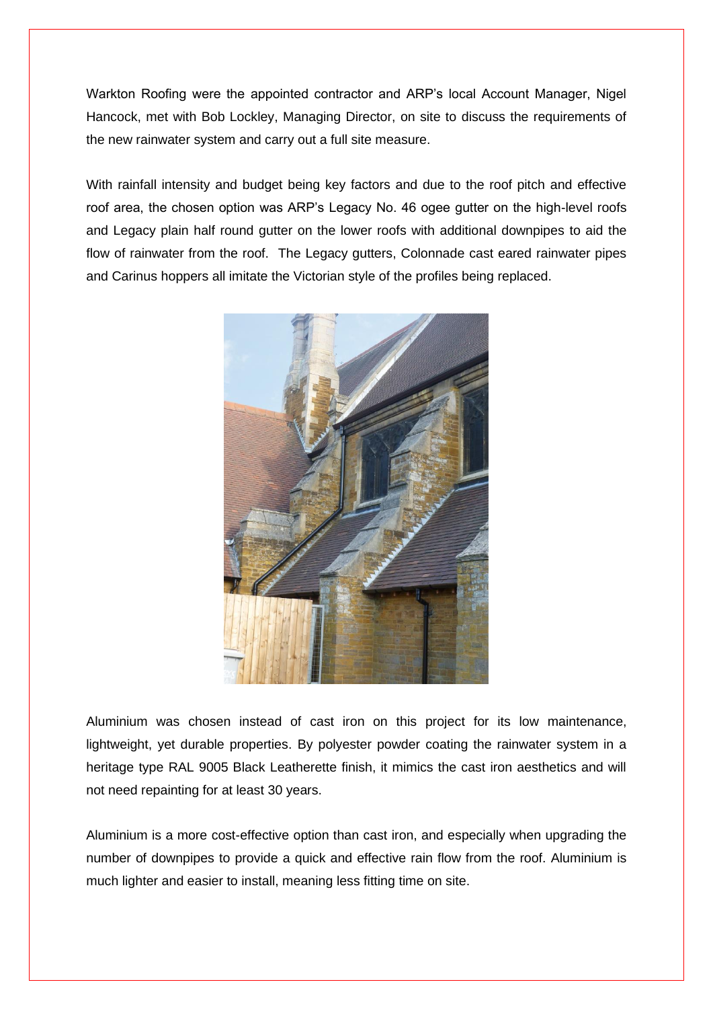Warkton Roofing were the appointed contractor and ARP's local Account Manager, Nigel Hancock, met with Bob Lockley, Managing Director, on site to discuss the requirements of the new rainwater system and carry out a full site measure.

With rainfall intensity and budget being key factors and due to the roof pitch and effective roof area, the chosen option was ARP's Legacy No. 46 ogee gutter on the high-level roofs and Legacy plain half round gutter on the lower roofs with additional downpipes to aid the flow of rainwater from the roof. The Legacy gutters, Colonnade cast eared rainwater pipes and Carinus hoppers all imitate the Victorian style of the profiles being replaced.



Aluminium was chosen instead of cast iron on this project for its low maintenance, lightweight, yet durable properties. By polyester powder coating the rainwater system in a heritage type RAL 9005 Black Leatherette finish, it mimics the cast iron aesthetics and will not need repainting for at least 30 years.

Aluminium is a more cost-effective option than cast iron, and especially when upgrading the number of downpipes to provide a quick and effective rain flow from the roof. Aluminium is much lighter and easier to install, meaning less fitting time on site.